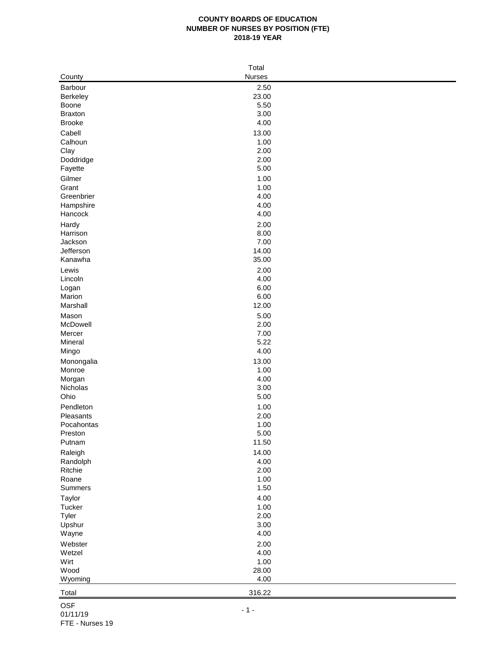## **COUNTY BOARDS OF EDUCATION NUMBER OF NURSES BY POSITION (FTE) 2018-19 YEAR**

| Total           |               |  |  |  |  |  |
|-----------------|---------------|--|--|--|--|--|
| County          | <b>Nurses</b> |  |  |  |  |  |
| Barbour         | 2.50          |  |  |  |  |  |
| Berkeley        | 23.00         |  |  |  |  |  |
| Boone           | 5.50          |  |  |  |  |  |
| <b>Braxton</b>  | 3.00          |  |  |  |  |  |
| <b>Brooke</b>   | 4.00          |  |  |  |  |  |
| Cabell          | 13.00         |  |  |  |  |  |
| Calhoun         | 1.00          |  |  |  |  |  |
| Clay            | 2.00          |  |  |  |  |  |
| Doddridge       | 2.00          |  |  |  |  |  |
| Fayette         | 5.00          |  |  |  |  |  |
| Gilmer          | 1.00          |  |  |  |  |  |
| Grant           | 1.00          |  |  |  |  |  |
| Greenbrier      | 4.00          |  |  |  |  |  |
| Hampshire       | 4.00          |  |  |  |  |  |
| Hancock         | 4.00          |  |  |  |  |  |
| Hardy           | 2.00          |  |  |  |  |  |
| Harrison        | 8.00          |  |  |  |  |  |
| Jackson         | 7.00          |  |  |  |  |  |
| Jefferson       | 14.00         |  |  |  |  |  |
| Kanawha         | 35.00         |  |  |  |  |  |
| Lewis           | 2.00          |  |  |  |  |  |
| Lincoln         | 4.00          |  |  |  |  |  |
| Logan<br>Marion | 6.00<br>6.00  |  |  |  |  |  |
| Marshall        | 12.00         |  |  |  |  |  |
| Mason           | 5.00          |  |  |  |  |  |
| McDowell        | 2.00          |  |  |  |  |  |
| Mercer          | 7.00          |  |  |  |  |  |
| Mineral         | 5.22          |  |  |  |  |  |
| Mingo           | 4.00          |  |  |  |  |  |
| Monongalia      | 13.00         |  |  |  |  |  |
| Monroe          | 1.00          |  |  |  |  |  |
| Morgan          | 4.00          |  |  |  |  |  |
| Nicholas        | 3.00          |  |  |  |  |  |
| Ohio            | 5.00          |  |  |  |  |  |
| Pendleton       | 1.00          |  |  |  |  |  |
| Pleasants       | 2.00          |  |  |  |  |  |
| Pocahontas      | 1.00          |  |  |  |  |  |
| Preston         | 5.00          |  |  |  |  |  |
| Putnam          | 11.50         |  |  |  |  |  |
| Raleigh         | 14.00         |  |  |  |  |  |
| Randolph        | 4.00          |  |  |  |  |  |
| Ritchie         | 2.00          |  |  |  |  |  |
| Roane           | 1.00          |  |  |  |  |  |
| Summers         | 1.50          |  |  |  |  |  |
| Taylor          | 4.00<br>1.00  |  |  |  |  |  |
| Tucker<br>Tyler | 2.00          |  |  |  |  |  |
| Upshur          | 3.00          |  |  |  |  |  |
| Wayne           | 4.00          |  |  |  |  |  |
| Webster         | 2.00          |  |  |  |  |  |
| Wetzel          | 4.00          |  |  |  |  |  |
| Wirt            | 1.00          |  |  |  |  |  |
| Wood            | 28.00         |  |  |  |  |  |
| Wyoming         | 4.00          |  |  |  |  |  |
|                 | 316.22        |  |  |  |  |  |
| Total           |               |  |  |  |  |  |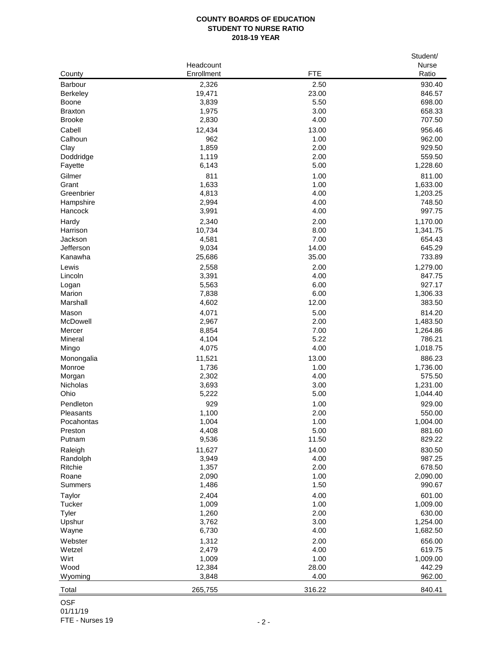## **COUNTY BOARDS OF EDUCATION STUDENT TO NURSE RATIO 2018-19 YEAR**

|                         |                |               | Student/     |
|-------------------------|----------------|---------------|--------------|
|                         | Headcount      |               | <b>Nurse</b> |
| County                  | Enrollment     | <b>FTE</b>    | Ratio        |
| Barbour                 | 2,326          | 2.50          | 930.40       |
| <b>Berkeley</b>         | 19,471         | 23.00         | 846.57       |
| <b>Boone</b>            | 3,839          | 5.50          | 698.00       |
| <b>Braxton</b>          | 1,975          | 3.00          | 658.33       |
| <b>Brooke</b>           | 2,830          | 4.00          | 707.50       |
| Cabell                  | 12,434         | 13.00         | 956.46       |
| Calhoun                 | 962            | 1.00          | 962.00       |
| Clay                    | 1,859          | 2.00          | 929.50       |
| Doddridge               | 1,119          | 2.00          | 559.50       |
| Fayette                 | 6,143          | 5.00          | 1,228.60     |
| Gilmer                  | 811            | 1.00          | 811.00       |
| Grant                   | 1,633          | 1.00          | 1,633.00     |
| Greenbrier              | 4,813          | 4.00          | 1,203.25     |
| Hampshire               | 2,994          | 4.00          | 748.50       |
| Hancock                 | 3,991          | 4.00          | 997.75       |
| Hardy                   | 2,340          | 2.00          | 1,170.00     |
| Harrison                | 10,734         | 8.00          | 1,341.75     |
| Jackson                 | 4,581          | 7.00          | 654.43       |
| Jefferson               | 9,034          | 14.00         | 645.29       |
| Kanawha                 | 25,686         | 35.00         | 733.89       |
| Lewis                   | 2,558          | 2.00          | 1,279.00     |
| Lincoln                 | 3,391          | 4.00          | 847.75       |
| Logan                   | 5,563          | 6.00          | 927.17       |
| Marion                  | 7,838          | 6.00          | 1,306.33     |
| Marshall                | 4,602          | 12.00         | 383.50       |
| Mason                   | 4,071          | 5.00          | 814.20       |
| McDowell                | 2,967          | 2.00          | 1,483.50     |
| Mercer                  | 8,854          | 7.00          | 1,264.86     |
| Mineral                 | 4,104          | 5.22          | 786.21       |
| Mingo                   | 4,075          | 4.00          | 1,018.75     |
| Monongalia              | 11,521         | 13.00         | 886.23       |
| Monroe                  | 1,736          | 1.00          | 1,736.00     |
| Morgan                  | 2,302          | 4.00          | 575.50       |
| Nicholas                | 3,693          | 3.00          | 1,231.00     |
| Ohio                    | 5,222          | 5.00          | 1,044.40     |
| Pendleton               | 929            | 1.00          | 929.00       |
| Pleasants               | 1,100          | 2.00          | 550.00       |
| Pocahontas              | 1,004          | 1.00          | 1,004.00     |
| Preston                 | 4,408          | 5.00          | 881.60       |
| Putnam                  | 9,536          | 11.50         | 829.22       |
| Raleigh                 | 11,627         | 14.00         | 830.50       |
| Randolph                | 3,949          | 4.00          | 987.25       |
| Ritchie                 | 1,357          | 2.00          | 678.50       |
| Roane                   | 2,090          | 1.00          | 2,090.00     |
| Summers                 | 1,486          | 1.50          | 990.67       |
|                         |                | 4.00          | 601.00       |
| Taylor<br><b>Tucker</b> | 2,404<br>1,009 | 1.00          | 1,009.00     |
| Tyler                   | 1,260          | 2.00          | 630.00       |
| Upshur                  | 3,762          | 3.00          | 1,254.00     |
| Wayne                   | 6,730          | 4.00          | 1,682.50     |
|                         |                |               |              |
| Webster                 | 1,312          | 2.00          | 656.00       |
| Wetzel                  | 2,479          | 4.00          | 619.75       |
| Wirt                    | 1,009          | 1.00          | 1,009.00     |
| Wood                    | 12,384         | 28.00<br>4.00 | 442.29       |
| Wyoming                 | 3,848          |               | 962.00       |
| Total                   | 265,755        | 316.22        | 840.41       |